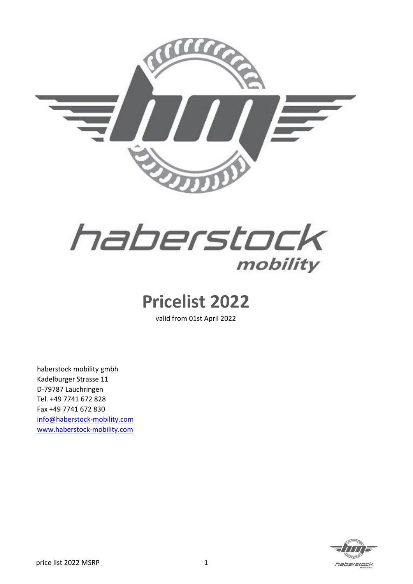



## **Pricelist 2022**

valid from 01st April 2022

haberstock mobility gmbh Kadelburger Strasse 11 D-79787 Lauchringen Tel. +49 7741 672 828 Fax +49 7741 672 830 [info@haberstock-mobility.com](mailto:info@haberstock-mobility.com) [www.haberstock-mobility.com](http://www.haberstock-mobility.com/)

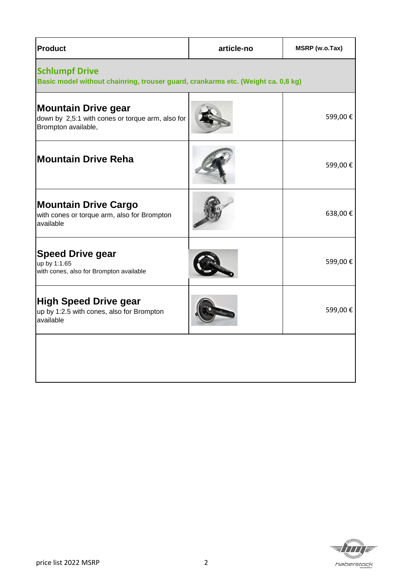| <b>Product</b>                                                                                            | article-no | MSRP (w.o.Tax) |
|-----------------------------------------------------------------------------------------------------------|------------|----------------|
| <b>Schlumpf Drive</b><br>Basic model without chainring, trouser guard, crankarms etc. (Weight ca. 0,8 kg) |            |                |
| <b>Mountain Drive gear</b><br>down by 2,5:1 with cones or torque arm, also for<br>Brompton available,     |            | 599,00€        |
| <b>Mountain Drive Reha</b>                                                                                |            | 599,00€        |
| <b>Mountain Drive Cargo</b><br>with cones or torque arm, also for Brompton<br>available                   |            | 638,00€        |
| <b>Speed Drive gear</b><br>up by 1:1.65<br>with cones, also for Brompton available                        |            | 599,00€        |
| <b>High Speed Drive gear</b><br>up by 1:2.5 with cones, also for Brompton<br>available                    |            | 599,00€        |
|                                                                                                           |            |                |

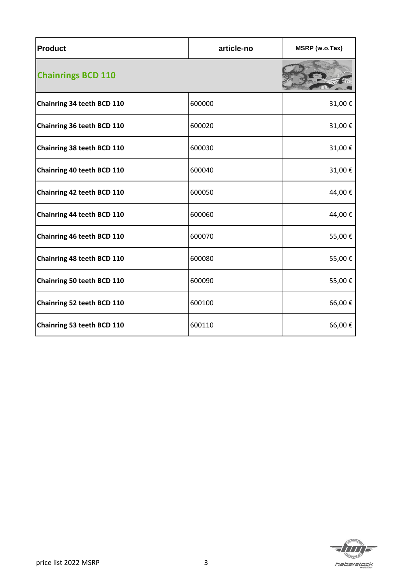| <b>Product</b>             | article-no | MSRP (w.o.Tax) |
|----------------------------|------------|----------------|
| <b>Chainrings BCD 110</b>  |            |                |
| Chainring 34 teeth BCD 110 | 600000     | 31,00€         |
| Chainring 36 teeth BCD 110 | 600020     | 31,00€         |
| Chainring 38 teeth BCD 110 | 600030     | 31,00€         |
| Chainring 40 teeth BCD 110 | 600040     | 31,00€         |
| Chainring 42 teeth BCD 110 | 600050     | 44,00€         |
| Chainring 44 teeth BCD 110 | 600060     | 44,00€         |
| Chainring 46 teeth BCD 110 | 600070     | 55,00€         |
| Chainring 48 teeth BCD 110 | 600080     | 55,00€         |
| Chainring 50 teeth BCD 110 | 600090     | 55,00€         |
| Chainring 52 teeth BCD 110 | 600100     | 66,00€         |
| Chainring 53 teeth BCD 110 | 600110     | 66,00€         |

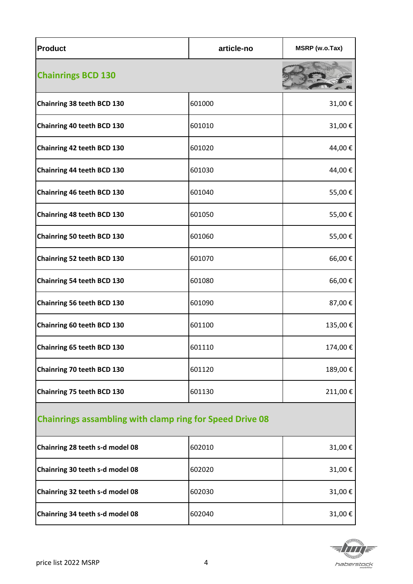| <b>Product</b>             | article-no | MSRP (w.o.Tax) |
|----------------------------|------------|----------------|
| <b>Chainrings BCD 130</b>  |            |                |
| Chainring 38 teeth BCD 130 | 601000     | 31,00€         |
| Chainring 40 teeth BCD 130 | 601010     | 31,00€         |
| Chainring 42 teeth BCD 130 | 601020     | 44,00€         |
| Chainring 44 teeth BCD 130 | 601030     | 44,00€         |
| Chainring 46 teeth BCD 130 | 601040     | 55,00€         |
| Chainring 48 teeth BCD 130 | 601050     | 55,00€         |
| Chainring 50 teeth BCD 130 | 601060     | 55,00€         |
| Chainring 52 teeth BCD 130 | 601070     | 66,00€         |
| Chainring 54 teeth BCD 130 | 601080     | 66,00€         |
| Chainring 56 teeth BCD 130 | 601090     | 87,00€         |
| Chainring 60 teeth BCD 130 | 601100     | 135,00€        |
| Chainring 65 teeth BCD 130 | 601110     | 174,00 €       |
| Chainring 70 teeth BCD 130 | 601120     | 189,00€        |
| Chainring 75 teeth BCD 130 | 601130     | 211,00€        |

## **Chainrings assambling with clamp ring for Speed Drive 08**

| Chainring 28 teeth s-d model 08 | 602010 | $31,00 \in$ |
|---------------------------------|--------|-------------|
| Chainring 30 teeth s-d model 08 | 602020 | 31,00 €     |
| Chainring 32 teeth s-d model 08 | 602030 | 31,00 €     |
| Chainring 34 teeth s-d model 08 | 602040 | 31,00 €     |

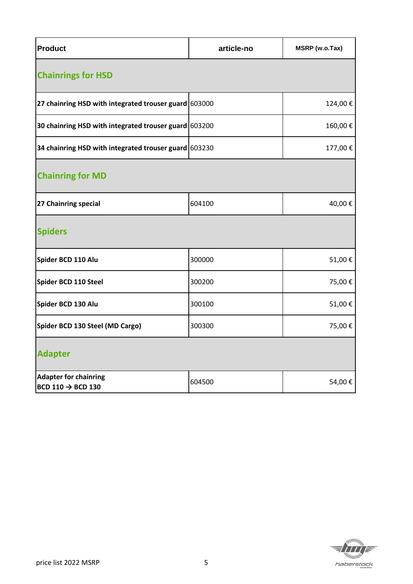| <b>Product</b>                                                | article-no | MSRP (w.o.Tax) |  |
|---------------------------------------------------------------|------------|----------------|--|
| <b>Chainrings for HSD</b>                                     |            |                |  |
| 27 chainring HSD with integrated trouser guard 603000         |            | 124,00€        |  |
| 30 chainring HSD with integrated trouser guard 603200         |            | 160,00€        |  |
| 34 chainring HSD with integrated trouser guard 603230         |            | 177,00€        |  |
| <b>Chainring for MD</b>                                       |            |                |  |
| 27 Chainring special                                          | 604100     | 40,00€         |  |
| <b>Spiders</b>                                                |            |                |  |
| Spider BCD 110 Alu                                            | 300000     | 51,00€         |  |
| Spider BCD 110 Steel                                          | 300200     | 75,00€         |  |
| Spider BCD 130 Alu                                            | 300100     | 51,00€         |  |
| Spider BCD 130 Steel (MD Cargo)                               | 300300     | 75,00€         |  |
| <b>Adapter</b>                                                |            |                |  |
| <b>Adapter for chainring</b><br>BCD 110 $\rightarrow$ BCD 130 | 604500     | 54,00€         |  |

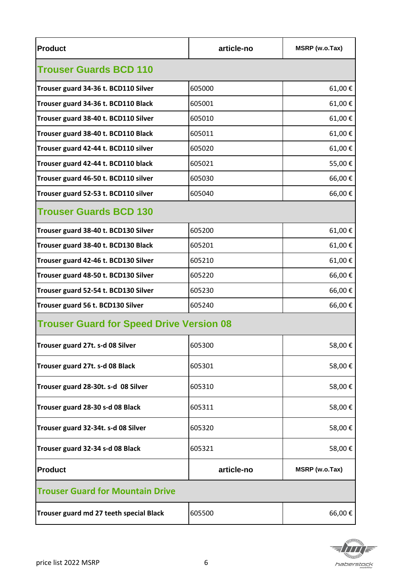| <b>Product</b>                                  | article-no | MSRP (w.o.Tax) |  |
|-------------------------------------------------|------------|----------------|--|
| <b>Trouser Guards BCD 110</b>                   |            |                |  |
| Trouser guard 34-36 t. BCD110 Silver            | 605000     | 61,00€         |  |
| Trouser guard 34-36 t. BCD110 Black             | 605001     | 61,00€         |  |
| Trouser guard 38-40 t. BCD110 Silver            | 605010     | 61,00€         |  |
| Trouser guard 38-40 t. BCD110 Black             | 605011     | 61,00€         |  |
| Trouser guard 42-44 t. BCD110 silver            | 605020     | 61,00€         |  |
| Trouser guard 42-44 t. BCD110 black             | 605021     | 55,00€         |  |
| Trouser guard 46-50 t. BCD110 silver            | 605030     | 66,00€         |  |
| Trouser guard 52-53 t. BCD110 silver            | 605040     | 66,00€         |  |
| <b>Trouser Guards BCD 130</b>                   |            |                |  |
| Trouser guard 38-40 t. BCD130 Silver            | 605200     | 61,00€         |  |
| Trouser guard 38-40 t. BCD130 Black             | 605201     | 61,00€         |  |
| Trouser guard 42-46 t. BCD130 Silver            | 605210     | 61,00€         |  |
| Trouser guard 48-50 t. BCD130 Silver            | 605220     | 66,00€         |  |
| Trouser guard 52-54 t. BCD130 Silver            | 605230     | 66,00€         |  |
| Trouser guard 56 t. BCD130 Silver               | 605240     | 66,00€         |  |
| <b>Trouser Guard for Speed Drive Version 08</b> |            |                |  |
| Trouser guard 27t. s-d 08 Silver                | 605300     | 58,00€         |  |
| Trouser guard 27t. s-d 08 Black                 | 605301     | 58,00€         |  |
| Trouser guard 28-30t. s-d 08 Silver             | 605310     | 58,00€         |  |
| Trouser guard 28-30 s-d 08 Black                | 605311     | 58,00€         |  |
| Trouser guard 32-34t. s-d 08 Silver             | 605320     | 58,00€         |  |
| Trouser guard 32-34 s-d 08 Black                | 605321     | 58,00€         |  |
| <b>Product</b>                                  | article-no | MSRP (w.o.Tax) |  |
| <b>Trouser Guard for Mountain Drive</b>         |            |                |  |
| Trouser guard md 27 teeth special Black         | 605500     | 66,00€         |  |

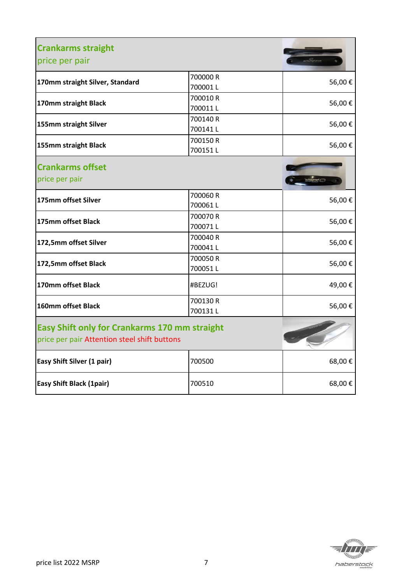| <b>Crankarms straight</b><br>price per pair                                                          |                     |        |
|------------------------------------------------------------------------------------------------------|---------------------|--------|
| 170mm straight Silver, Standard                                                                      | 700000 R<br>700001L | 56,00€ |
| 170mm straight Black                                                                                 | 700010R<br>700011L  | 56,00€ |
| 155mm straight Silver                                                                                | 700140R<br>700141L  | 56,00€ |
| 155mm straight Black                                                                                 | 700150R<br>700151L  | 56,00€ |
| <b>Crankarms offset</b><br>price per pair                                                            |                     |        |
| 175mm offset Silver                                                                                  | 700060 R<br>700061L | 56,00€ |
| 175mm offset Black                                                                                   | 700070 R<br>700071L | 56,00€ |
| 172,5mm offset Silver                                                                                | 700040 R<br>700041L | 56,00€ |
| 172,5mm offset Black                                                                                 | 700050 R<br>700051L | 56,00€ |
| 170mm offset Black                                                                                   | #BEZUG!             | 49,00€ |
| 160mm offset Black                                                                                   | 700130 R<br>700131L | 56,00€ |
| <b>Easy Shift only for Crankarms 170 mm straight</b><br>price per pair Attention steel shift buttons |                     |        |
| <b>Easy Shift Silver (1 pair)</b>                                                                    | 700500              | 68,00€ |
| <b>Easy Shift Black (1pair)</b>                                                                      | 700510              | 68,00€ |

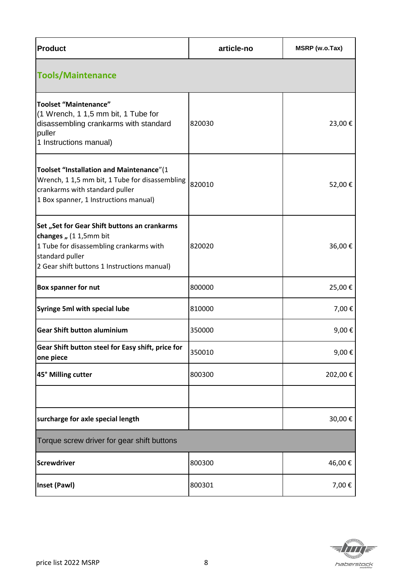| <b>Product</b>                                                                                                                                                                      | article-no | MSRP (w.o.Tax) |
|-------------------------------------------------------------------------------------------------------------------------------------------------------------------------------------|------------|----------------|
| <b>Tools/Maintenance</b>                                                                                                                                                            |            |                |
| <b>Toolset "Maintenance"</b><br>(1 Wrench, 1 1,5 mm bit, 1 Tube for<br>disassembling crankarms with standard<br>puller<br>1 Instructions manual)                                    | 820030     | 23,00€         |
| Toolset "Installation and Maintenance"(1<br>Wrench, 1 1,5 mm bit, 1 Tube for disassembling<br>crankarms with standard puller<br>1 Box spanner, 1 Instructions manual)               | 820010     | 52,00€         |
| Set "Set for Gear Shift buttons an crankarms<br>changes " (1 1,5mm bit<br>1 Tube for disassembling crankarms with<br>standard puller<br>2 Gear shift buttons 1 Instructions manual) | 820020     | 36,00€         |
| <b>Box spanner for nut</b>                                                                                                                                                          | 800000     | 25,00€         |
| <b>Syringe 5ml with special lube</b>                                                                                                                                                | 810000     | 7,00€          |
| <b>Gear Shift button aluminium</b>                                                                                                                                                  | 350000     | 9,00€          |
| Gear Shift button steel for Easy shift, price for<br>one piece                                                                                                                      | 350010     | 9,00€          |
| 45° Milling cutter                                                                                                                                                                  | 800300     | 202,00€        |
|                                                                                                                                                                                     |            |                |
| surcharge for axle special length                                                                                                                                                   |            | 30,00€         |
| Torque screw driver for gear shift buttons                                                                                                                                          |            |                |
| <b>Screwdriver</b>                                                                                                                                                                  | 800300     | 46,00€         |
| Inset (Pawl)                                                                                                                                                                        | 800301     | 7,00€          |